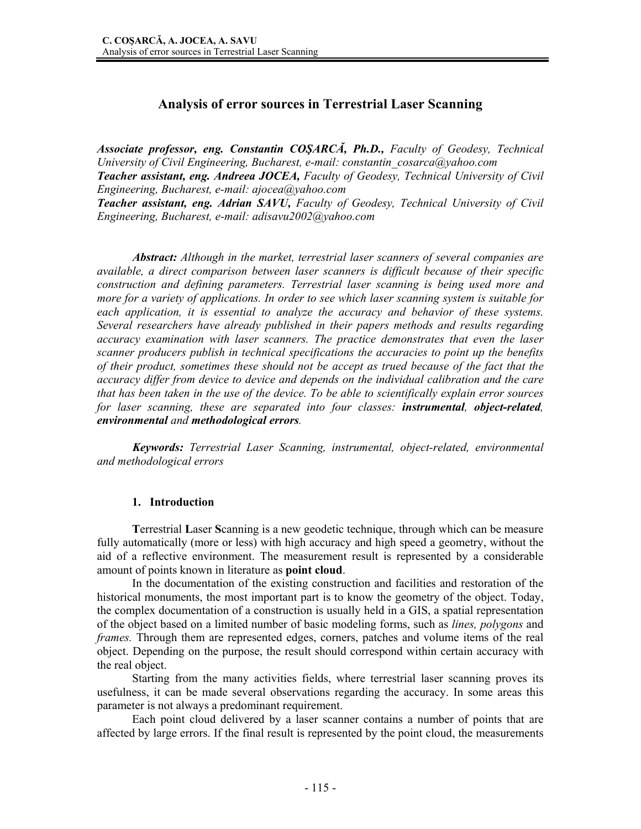# **Analysis of error sources in Terrestrial Laser Scanning**

*Associate professor, eng. Constantin COŞARCĂ, Ph.D., Faculty of Geodesy, Technical University of Civil Engineering, Bucharest, e-mail: constantin\_cosarca@yahoo.com Teacher assistant, eng. Andreea JOCEA, Faculty of Geodesy, Technical University of Civil Engineering, Bucharest, e-mail: ajocea@yahoo.com* 

*Teacher assistant, eng. Adrian SAVU, Faculty of Geodesy, Technical University of Civil Engineering, Bucharest, e-mail: adisavu2002@yahoo.com* 

 *Abstract: Although in the market, terrestrial laser scanners of several companies are available, a direct comparison between laser scanners is difficult because of their specific construction and defining parameters. Terrestrial laser scanning is being used more and more for a variety of applications. In order to see which laser scanning system is suitable for each application, it is essential to analyze the accuracy and behavior of these systems. Several researchers have already published in their papers methods and results regarding accuracy examination with laser scanners. The practice demonstrates that even the laser scanner producers publish in technical specifications the accuracies to point up the benefits of their product, sometimes these should not be accept as trued because of the fact that the accuracy differ from device to device and depends on the individual calibration and the care that has been taken in the use of the device. To be able to scientifically explain error sources for laser scanning, these are separated into four classes: instrumental, object-related, environmental and methodological errors.* 

*Keywords: Terrestrial Laser Scanning, instrumental, object-related, environmental and methodological errors* 

### **1. Introduction**

**T**errestrial **L**aser **S**canning is a new geodetic technique, through which can be measure fully automatically (more or less) with high accuracy and high speed a geometry, without the aid of a reflective environment. The measurement result is represented by a considerable amount of points known in literature as **point cloud**.

In the documentation of the existing construction and facilities and restoration of the historical monuments, the most important part is to know the geometry of the object. Today, the complex documentation of a construction is usually held in a GIS, a spatial representation of the object based on a limited number of basic modeling forms, such as *lines, polygons* and *frames.* Through them are represented edges, corners, patches and volume items of the real object. Depending on the purpose, the result should correspond within certain accuracy with the real object.

Starting from the many activities fields, where terrestrial laser scanning proves its usefulness, it can be made several observations regarding the accuracy. In some areas this parameter is not always a predominant requirement.

Each point cloud delivered by a laser scanner contains a number of points that are affected by large errors. If the final result is represented by the point cloud, the measurements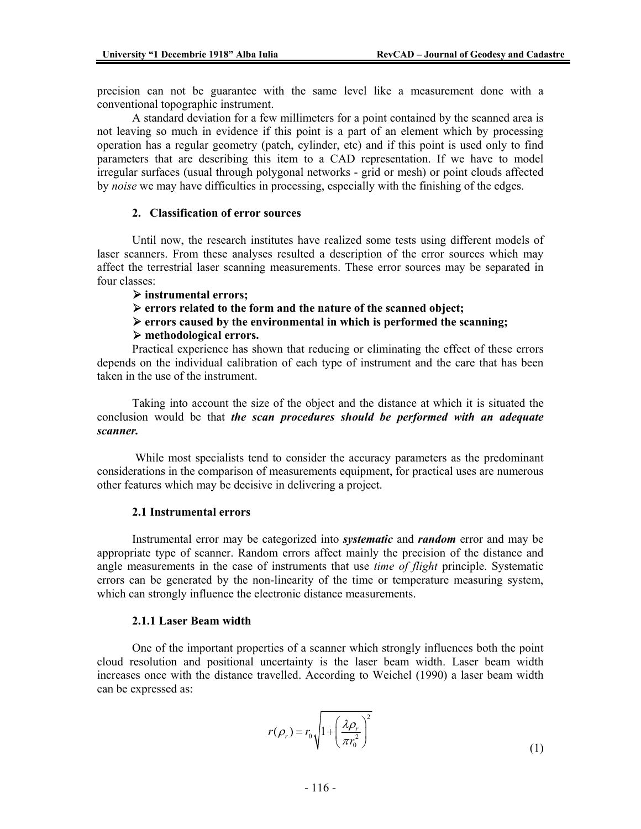precision can not be guarantee with the same level like a measurement done with a conventional topographic instrument.

A standard deviation for a few millimeters for a point contained by the scanned area is not leaving so much in evidence if this point is a part of an element which by processing operation has a regular geometry (patch, cylinder, etc) and if this point is used only to find parameters that are describing this item to a CAD representation. If we have to model irregular surfaces (usual through polygonal networks - grid or mesh) or point clouds affected by *noise* we may have difficulties in processing, especially with the finishing of the edges.

### **2. Classification of error sources**

Until now, the research institutes have realized some tests using different models of laser scanners. From these analyses resulted a description of the error sources which may affect the terrestrial laser scanning measurements. These error sources may be separated in four classes:

### ¾ **instrumental errors;**

¾ **errors related to the form and the nature of the scanned object;** 

¾ **errors caused by the environmental in which is performed the scanning;**  ¾ **methodological errors.** 

Practical experience has shown that reducing or eliminating the effect of these errors depends on the individual calibration of each type of instrument and the care that has been taken in the use of the instrument.

### Taking into account the size of the object and the distance at which it is situated the conclusion would be that *the scan procedures should be performed with an adequate scanner.*

While most specialists tend to consider the accuracy parameters as the predominant considerations in the comparison of measurements equipment, for practical uses are numerous other features which may be decisive in delivering a project.

### **2.1 Instrumental errors**

Instrumental error may be categorized into *systematic* and *random* error and may be appropriate type of scanner. Random errors affect mainly the precision of the distance and angle measurements in the case of instruments that use *time of flight* principle. Systematic errors can be generated by the non-linearity of the time or temperature measuring system, which can strongly influence the electronic distance measurements.

#### **2.1.1 Laser Beam width**

One of the important properties of a scanner which strongly influences both the point cloud resolution and positional uncertainty is the laser beam width. Laser beam width increases once with the distance travelled. According to Weichel (1990) a laser beam width can be expressed as:

$$
r(\rho_r) = r_0 \sqrt{1 + \left(\frac{\lambda \rho_r}{\pi r_0^2}\right)^2}
$$
 (1)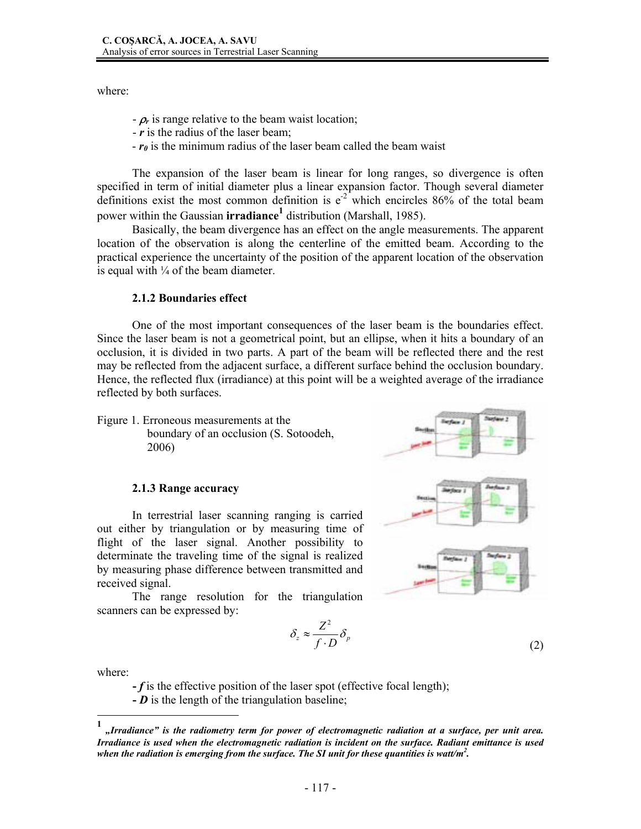where:

- $-\rho_r$  is range relative to the beam waist location;
- *r* is the radius of the laser beam;
- *r0* is the minimum radius of the laser beam called the beam waist

The expansion of the laser beam is linear for long ranges, so divergence is often specified in term of initial diameter plus a linear expansion factor. Though several diameter definitions exist the most common definition is  $e^{-2}$  which encircles 86% of the total beam power within the Gaussian **irradiance<sup>1</sup>** distribution (Marshall, 1985).

Basically, the beam divergence has an effect on the angle measurements. The apparent location of the observation is along the centerline of the emitted beam. According to the practical experience the uncertainty of the position of the apparent location of the observation is equal with  $\frac{1}{4}$  of the beam diameter.

#### **2.1.2 Boundaries effect**

One of the most important consequences of the laser beam is the boundaries effect. Since the laser beam is not a geometrical point, but an ellipse, when it hits a boundary of an occlusion, it is divided in two parts. A part of the beam will be reflected there and the rest may be reflected from the adjacent surface, a different surface behind the occlusion boundary. Hence, the reflected flux (irradiance) at this point will be a weighted average of the irradiance reflected by both surfaces.

Figure 1. Erroneous measurements at the boundary of an occlusion (S. Sotoodeh, 2006)

#### **2.1.3 Range accuracy**

In terrestrial laser scanning ranging is carried out either by triangulation or by measuring time of flight of the laser signal. Another possibility to determinate the traveling time of the signal is realized by measuring phase difference between transmitted and received signal.

The range resolution for the triangulation scanners can be expressed by:

$$
\delta_z \approx \frac{Z^2}{f \cdot D} \delta_p \tag{2}
$$

where:

 $\overline{a}$ 

**-** *f* is the effective position of the laser spot (effective focal length);

**-** *D* is the length of the triangulation baseline;



**<sup>1</sup>** *"Irradiance" is the radiometry term for power of electromagnetic radiation at a surface, per unit area. Irradiance is used when the electromagnetic radiation is incident on the surface. Radiant emittance is used*  when the radiation is emerging from the surface. The SI unit for these quantities is watt/m<sup>2</sup>.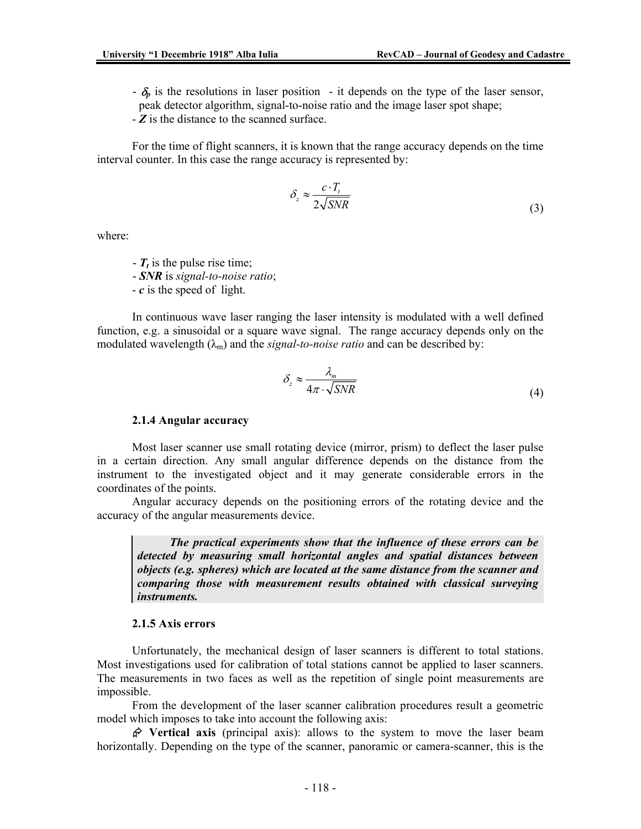- $-\delta_p$  is the resolutions in laser position it depends on the type of the laser sensor,
- peak detector algorithm, signal-to-noise ratio and the image laser spot shape;

- *Z* is the distance to the scanned surface.

For the time of flight scanners, it is known that the range accuracy depends on the time interval counter. In this case the range accuracy is represented by:

$$
\delta_z \approx \frac{c \cdot T_t}{2\sqrt{SNR}}
$$
\n(3)

where:

- $T_t$  is the pulse rise time;
- *SNR* is *signal-to-noise ratio*;
- *c* is the speed of light.

In continuous wave laser ranging the laser intensity is modulated with a well defined function, e.g. a sinusoidal or a square wave signal. The range accuracy depends only on the modulated wavelength  $(\lambda_m)$  and the *signal-to-noise ratio* and can be described by:

$$
\delta_z \approx \frac{\lambda_m}{4\pi \cdot \sqrt{SNR}}
$$
 (4)

#### **2.1.4 Angular accuracy**

Most laser scanner use small rotating device (mirror, prism) to deflect the laser pulse in a certain direction. Any small angular difference depends on the distance from the instrument to the investigated object and it may generate considerable errors in the coordinates of the points.

Angular accuracy depends on the positioning errors of the rotating device and the accuracy of the angular measurements device.

 *The practical experiments show that the influence of these errors can be detected by measuring small horizontal angles and spatial distances between objects (e.g. spheres) which are located at the same distance from the scanner and comparing those with measurement results obtained with classical surveying instruments.* 

#### **2.1.5 Axis errors**

Unfortunately, the mechanical design of laser scanners is different to total stations. Most investigations used for calibration of total stations cannot be applied to laser scanners. The measurements in two faces as well as the repetition of single point measurements are impossible.

From the development of the laser scanner calibration procedures result a geometric model which imposes to take into account the following axis:

 $\hat{\varphi}$  Vertical axis (principal axis): allows to the system to move the laser beam horizontally. Depending on the type of the scanner, panoramic or camera-scanner, this is the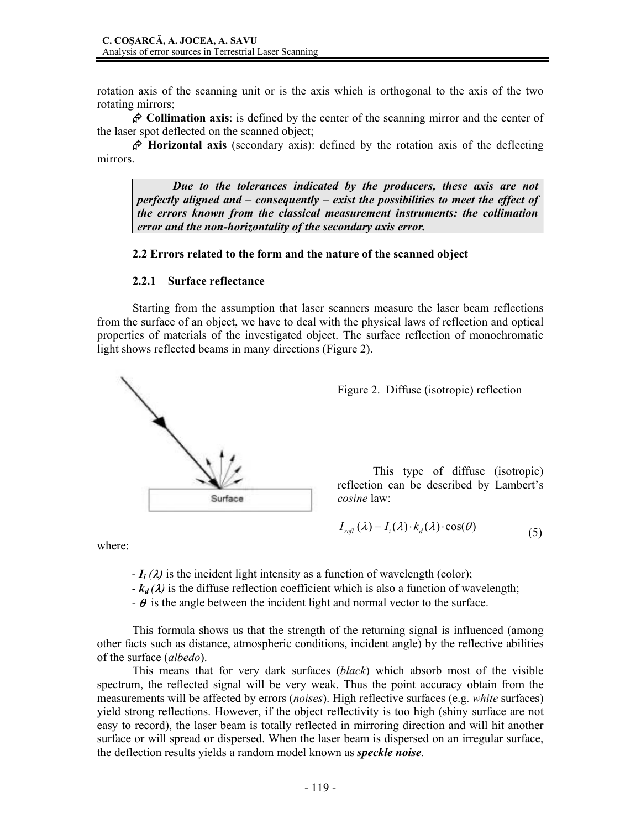rotation axis of the scanning unit or is the axis which is orthogonal to the axis of the two rotating mirrors;

¬ **Collimation axis**: is defined by the center of the scanning mirror and the center of the laser spot deflected on the scanned object;

¬ **Horizontal axis** (secondary axis): defined by the rotation axis of the deflecting mirrors.

*Due to the tolerances indicated by the producers, these axis are not perfectly aligned and – consequently – exist the possibilities to meet the effect of the errors known from the classical measurement instruments: the collimation error and the non-horizontality of the secondary axis error.* 

### **2.2 Errors related to the form and the nature of the scanned object**

#### **2.2.1 Surface reflectance**

Starting from the assumption that laser scanners measure the laser beam reflections from the surface of an object, we have to deal with the physical laws of reflection and optical properties of materials of the investigated object. The surface reflection of monochromatic light shows reflected beams in many directions (Figure 2).





This type of diffuse (isotropic) reflection can be described by Lambert's *cosine* law:

$$
I_{refl.}(\lambda) = I_i(\lambda) \cdot k_d(\lambda) \cdot \cos(\theta) \tag{5}
$$

where:

- $-I_i(\lambda)$  is the incident light intensity as a function of wavelength (color);
- $-k_d(\lambda)$  is the diffuse reflection coefficient which is also a function of wavelength;
- $-\theta$  is the angle between the incident light and normal vector to the surface.

 This formula shows us that the strength of the returning signal is influenced (among other facts such as distance, atmospheric conditions, incident angle) by the reflective abilities of the surface (*albedo*).

 This means that for very dark surfaces (*black*) which absorb most of the visible spectrum, the reflected signal will be very weak. Thus the point accuracy obtain from the measurements will be affected by errors (*noises*). High reflective surfaces (e.g. *white* surfaces) yield strong reflections. However, if the object reflectivity is too high (shiny surface are not easy to record), the laser beam is totally reflected in mirroring direction and will hit another surface or will spread or dispersed. When the laser beam is dispersed on an irregular surface, the deflection results yields a random model known as *speckle noise*.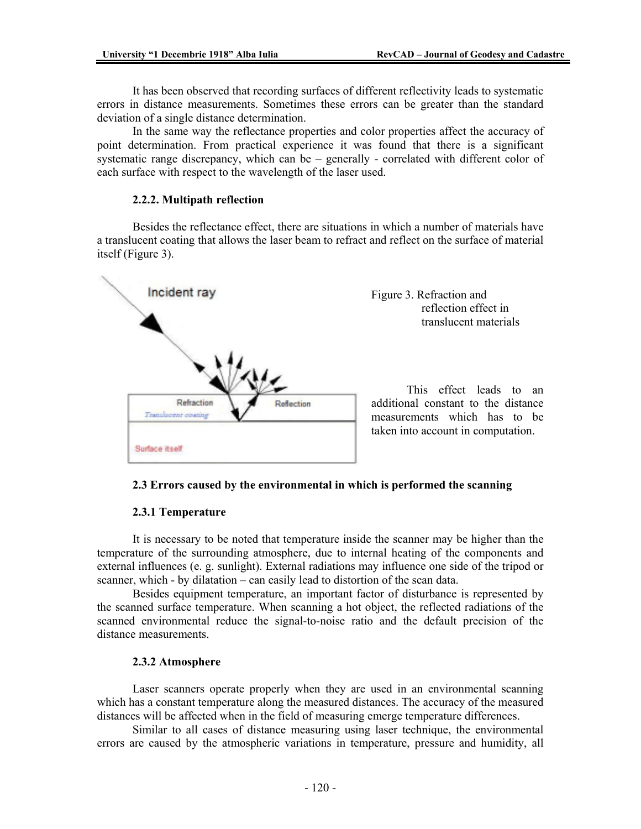It has been observed that recording surfaces of different reflectivity leads to systematic errors in distance measurements. Sometimes these errors can be greater than the standard deviation of a single distance determination.

 In the same way the reflectance properties and color properties affect the accuracy of point determination. From practical experience it was found that there is a significant systematic range discrepancy, which can be – generally - correlated with different color of each surface with respect to the wavelength of the laser used.

# **2.2.2. Multipath reflection**

Besides the reflectance effect, there are situations in which a number of materials have a translucent coating that allows the laser beam to refract and reflect on the surface of material itself (Figure 3).



Figure 3. Refraction and reflection effect in translucent materials

 This effect leads to an additional constant to the distance measurements which has to be taken into account in computation.

# **2.3 Errors caused by the environmental in which is performed the scanning**

### **2.3.1 Temperature**

It is necessary to be noted that temperature inside the scanner may be higher than the temperature of the surrounding atmosphere, due to internal heating of the components and external influences (e. g. sunlight). External radiations may influence one side of the tripod or scanner, which - by dilatation – can easily lead to distortion of the scan data.

Besides equipment temperature, an important factor of disturbance is represented by the scanned surface temperature. When scanning a hot object, the reflected radiations of the scanned environmental reduce the signal-to-noise ratio and the default precision of the distance measurements.

### **2.3.2 Atmosphere**

Laser scanners operate properly when they are used in an environmental scanning which has a constant temperature along the measured distances. The accuracy of the measured distances will be affected when in the field of measuring emerge temperature differences.

Similar to all cases of distance measuring using laser technique, the environmental errors are caused by the atmospheric variations in temperature, pressure and humidity, all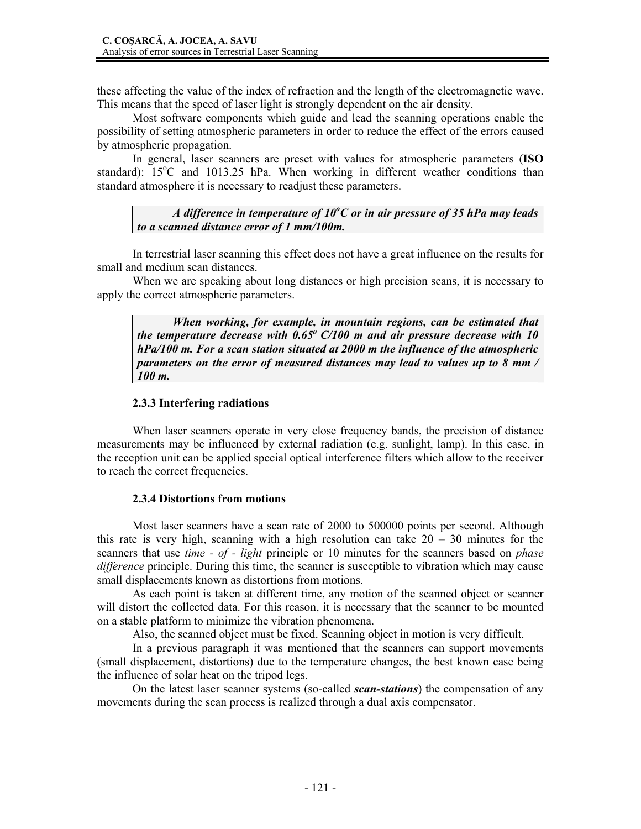these affecting the value of the index of refraction and the length of the electromagnetic wave. This means that the speed of laser light is strongly dependent on the air density.

Most software components which guide and lead the scanning operations enable the possibility of setting atmospheric parameters in order to reduce the effect of the errors caused by atmospheric propagation.

In general, laser scanners are preset with values for atmospheric parameters (**ISO**  standard): 15°C and 1013.25 hPa. When working in different weather conditions than standard atmosphere it is necessary to readjust these parameters.

*A difference in temperature of 10<sup>o</sup> C or in air pressure of 35 hPa may leads to a scanned distance error of 1 mm/100m.* 

In terrestrial laser scanning this effect does not have a great influence on the results for small and medium scan distances.

When we are speaking about long distances or high precision scans, it is necessary to apply the correct atmospheric parameters.

*When working, for example, in mountain regions, can be estimated that the temperature decrease with 0.65o C/100 m and air pressure decrease with 10 hPa/100 m. For a scan station situated at 2000 m the influence of the atmospheric parameters on the error of measured distances may lead to values up to 8 mm / 100 m.* 

### **2.3.3 Interfering radiations**

When laser scanners operate in very close frequency bands, the precision of distance measurements may be influenced by external radiation (e.g. sunlight, lamp). In this case, in the reception unit can be applied special optical interference filters which allow to the receiver to reach the correct frequencies.

# **2.3.4 Distortions from motions**

Most laser scanners have a scan rate of 2000 to 500000 points per second. Although this rate is very high, scanning with a high resolution can take  $20 - 30$  minutes for the scanners that use *time - of - light* principle or 10 minutes for the scanners based on *phase difference* principle. During this time, the scanner is susceptible to vibration which may cause small displacements known as distortions from motions.

As each point is taken at different time, any motion of the scanned object or scanner will distort the collected data. For this reason, it is necessary that the scanner to be mounted on a stable platform to minimize the vibration phenomena.

Also, the scanned object must be fixed. Scanning object in motion is very difficult.

In a previous paragraph it was mentioned that the scanners can support movements (small displacement, distortions) due to the temperature changes, the best known case being the influence of solar heat on the tripod legs.

On the latest laser scanner systems (so-called *scan-stations*) the compensation of any movements during the scan process is realized through a dual axis compensator.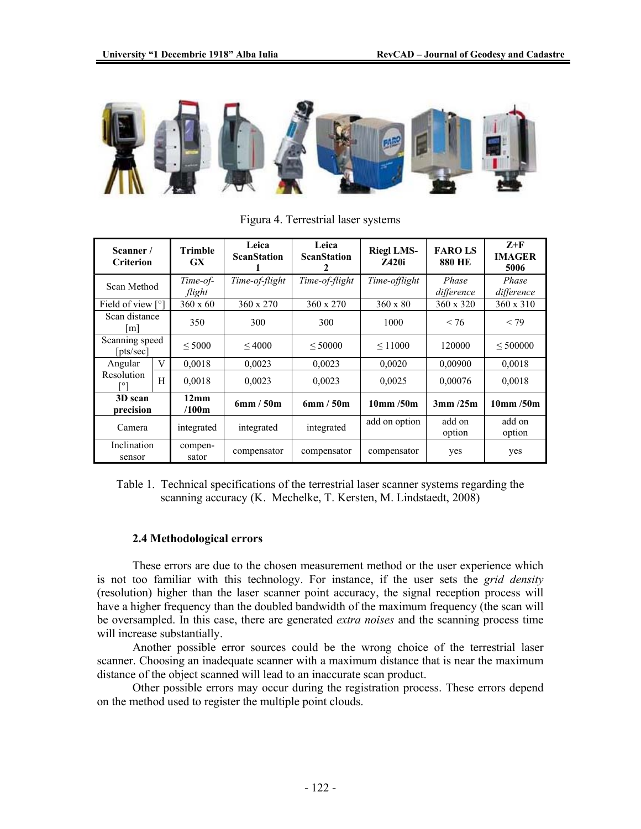

| Scanner/<br><b>Criterion</b>    |   | <b>Trimble</b><br>GX <sup>-</sup> | Leica<br><b>ScanStation</b> | Leica<br><b>ScanStation</b><br>2 | <b>Riegl LMS-</b><br><b>7.420i</b> | <b>FAROLS</b><br><b>880 HE</b> | $Z+F$<br><b>IMAGER</b><br>5006 |
|---------------------------------|---|-----------------------------------|-----------------------------|----------------------------------|------------------------------------|--------------------------------|--------------------------------|
| Scan Method                     |   | Time-of-<br>flight                | Time-of-flight              | Time-of-flight                   | Time-offlight                      | Phase<br>difference            | Phase<br>difference            |
| Field of view [°]               |   | $360 \times 60$                   | 360 x 270                   | 360 x 270                        | $360 \times 80$                    | 360 x 320                      | 360 x 310                      |
| Scan distance<br>m <sub>l</sub> |   | 350                               | 300                         | 300                              | 1000                               | < 76                           | < 79                           |
| Scanning speed<br>[pts/sec]     |   | < 5000                            | ${}<$ 4000                  | < 50000                          | $\leq 11000$                       | 120000                         | < 500000                       |
| Angular                         | V | 0,0018                            | 0.0023                      | 0,0023                           | 0,0020                             | 0,00900                        | 0,0018                         |
| Resolution                      | H | 0,0018                            | 0.0023                      | 0.0023                           | 0,0025                             | 0,00076                        | 0,0018                         |
| 3D scan<br>precision            |   | 12mm<br>/100m                     | 6mm/50m                     | 6mm/50m                          | 10 <sub>mm</sub> / 50 <sub>m</sub> | 3mm/25m                        | $10$ mm /50m                   |
| Camera                          |   | integrated                        | integrated                  | integrated                       | add on option                      | add on<br>option               | add on<br>option               |
| Inclination<br>sensor           |   | compen-<br>sator                  | compensator                 | compensator                      | compensator                        | yes                            | yes                            |

Figura 4. Terrestrial laser systems

Table 1. Technical specifications of the terrestrial laser scanner systems regarding the scanning accuracy (K. Mechelke, T. Kersten, M. Lindstaedt, 2008)

### **2.4 Methodological errors**

These errors are due to the chosen measurement method or the user experience which is not too familiar with this technology. For instance, if the user sets the *grid density* (resolution) higher than the laser scanner point accuracy, the signal reception process will have a higher frequency than the doubled bandwidth of the maximum frequency (the scan will be oversampled. In this case, there are generated *extra noises* and the scanning process time will increase substantially.

Another possible error sources could be the wrong choice of the terrestrial laser scanner. Choosing an inadequate scanner with a maximum distance that is near the maximum distance of the object scanned will lead to an inaccurate scan product.

Other possible errors may occur during the registration process. These errors depend on the method used to register the multiple point clouds.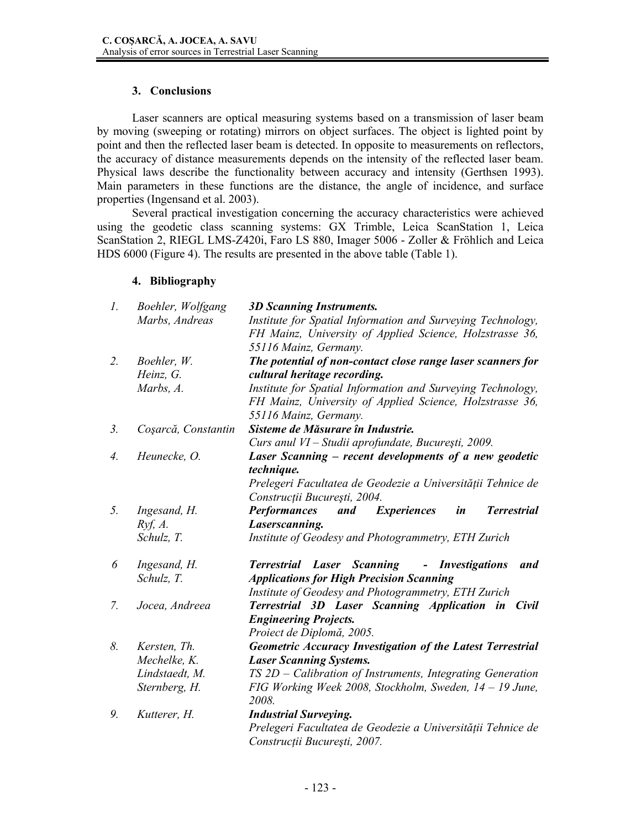# **3. Conclusions**

Laser scanners are optical measuring systems based on a transmission of laser beam by moving (sweeping or rotating) mirrors on object surfaces. The object is lighted point by point and then the reflected laser beam is detected. In opposite to measurements on reflectors, the accuracy of distance measurements depends on the intensity of the reflected laser beam. Physical laws describe the functionality between accuracy and intensity (Gerthsen 1993). Main parameters in these functions are the distance, the angle of incidence, and surface properties (Ingensand et al. 2003).

Several practical investigation concerning the accuracy characteristics were achieved using the geodetic class scanning systems: GX Trimble, Leica ScanStation 1, Leica ScanStation 2, RIEGL LMS-Z420i, Faro LS 880, Imager 5006 - Zoller & Fröhlich and Leica HDS 6000 (Figure 4). The results are presented in the above table (Table 1).

# **4. Bibliography**

| 1. | Boehler, Wolfgang   | <b>3D Scanning Instruments.</b>                                              |  |  |
|----|---------------------|------------------------------------------------------------------------------|--|--|
|    | Marbs, Andreas      | Institute for Spatial Information and Surveying Technology,                  |  |  |
|    |                     | FH Mainz, University of Applied Science, Holzstrasse 36,                     |  |  |
|    |                     | 55116 Mainz, Germany.                                                        |  |  |
| 2. | Boehler, W.         | The potential of non-contact close range laser scanners for                  |  |  |
|    | Heinz, G.           | cultural heritage recording.                                                 |  |  |
|    | Marbs, A.           | Institute for Spatial Information and Surveying Technology,                  |  |  |
|    |                     | FH Mainz, University of Applied Science, Holzstrasse 36,                     |  |  |
|    |                     | 55116 Mainz, Germany.                                                        |  |  |
| 3. | Coșarcă, Constantin | Sisteme de Măsurare în Industrie.                                            |  |  |
|    |                     | Curs anul VI - Studii aprofundate, București, 2009.                          |  |  |
| 4. | Heunecke, O.        | Laser Scanning – recent developments of a new geodetic                       |  |  |
|    |                     | technique.                                                                   |  |  |
|    |                     | Prelegeri Facultatea de Geodezie a Universității Tehnice de                  |  |  |
|    |                     | Construcții București, 2004.                                                 |  |  |
| 5. | Ingesand, H.        | <b>Performances</b><br><b>Terrestrial</b><br>and<br><i>Experiences</i><br>in |  |  |
|    | Ryf, A.             | Laserscanning.                                                               |  |  |
|    | Schulz, T.          | Institute of Geodesy and Photogrammetry, ETH Zurich                          |  |  |
| 6  | Ingesand, H.        | <b>Terrestrial Laser Scanning - Investigations</b><br>and                    |  |  |
|    | Schulz, T.          | <b>Applications for High Precision Scanning</b>                              |  |  |
|    |                     | Institute of Geodesy and Photogrammetry, ETH Zurich                          |  |  |
| 7. | Jocea, Andreea      | <b>Terrestrial 3D Laser Scanning Application in</b><br>Civil                 |  |  |
|    |                     | <b>Engineering Projects.</b>                                                 |  |  |
|    |                     | Proiect de Diplomă, 2005.                                                    |  |  |
| 8. | Kersten, Th.        | Geometric Accuracy Investigation of the Latest Terrestrial                   |  |  |
|    | Mechelke, K.        | <b>Laser Scanning Systems.</b>                                               |  |  |
|    | Lindstaedt, M.      | $TS 2D - California$ of Instruments, Integrating Generation                  |  |  |
|    | Sternberg, H.       | FIG Working Week 2008, Stockholm, Sweden, $14 - 19$ June,                    |  |  |
|    |                     | 2008.                                                                        |  |  |
| 9. | Kutterer, H.        | <b>Industrial Surveying.</b>                                                 |  |  |
|    |                     | Prelegeri Facultatea de Geodezie a Universității Tehnice de                  |  |  |
|    |                     | Construcții București, 2007.                                                 |  |  |